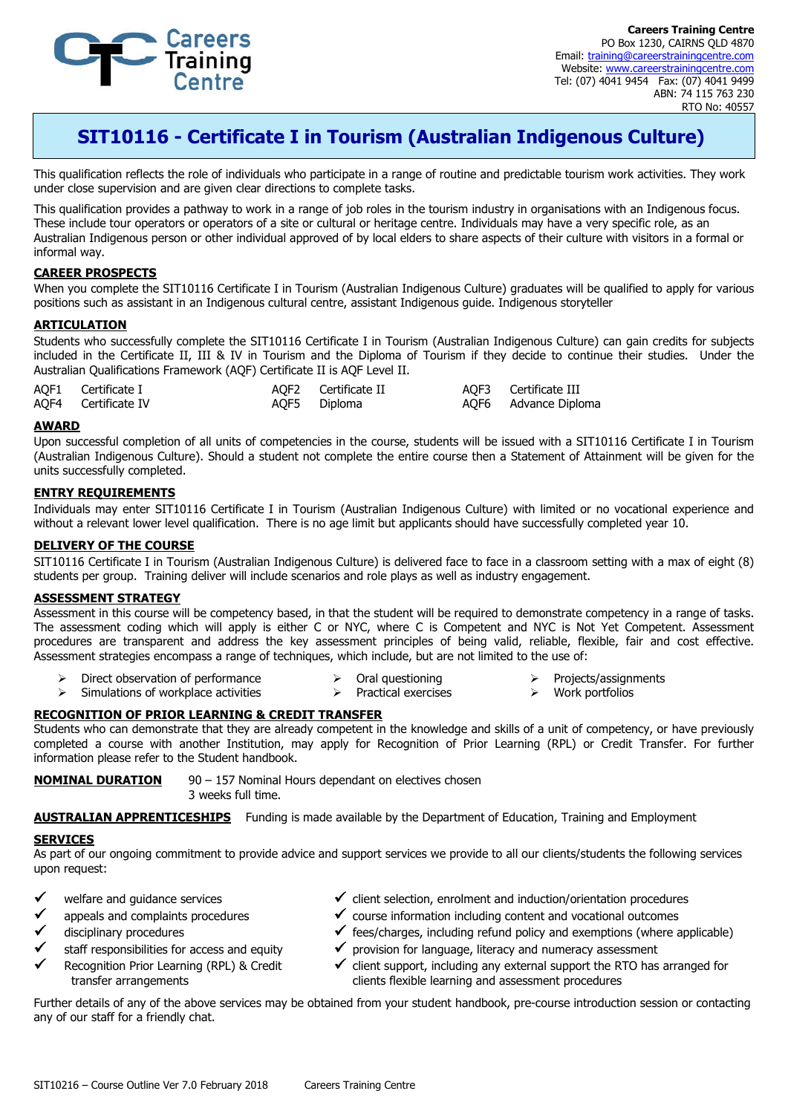

**Careers Training Centre** PO Box 1230, CAIRNS QLD 4870 Email: training@careerstrainingcentre.com Website: www.careerstrainingcentre.com Tel: (07) 4041 9454 Fax: (07) 4041 9499 ABN: 74 115 763 230 RTO No: 40557

# **SIT10116 - Certificate I in Tourism (Australian Indigenous Culture)**

This qualification reflects the role of individuals who participate in a range of routine and predictable tourism work activities. They work under close supervision and are given clear directions to complete tasks.

This qualification provides a pathway to work in a range of job roles in the tourism industry in organisations with an Indigenous focus. These include tour operators or operators of a site or cultural or heritage centre. Individuals may have a very specific role, as an Australian Indigenous person or other individual approved of by local elders to share aspects of their culture with visitors in a formal or informal way.

# **CAREER PROSPECTS**

When you complete the SIT10116 Certificate I in Tourism (Australian Indigenous Culture) graduates will be qualified to apply for various positions such as assistant in an Indigenous cultural centre, assistant Indigenous guide. Indigenous storyteller

### **ARTICULATION**

Students who successfully complete the SIT10116 Certificate I in Tourism (Australian Indigenous Culture) can gain credits for subjects included in the Certificate II, III & IV in Tourism and the Diploma of Tourism if they decide to continue their studies. Under the Australian Qualifications Framework (AQF) Certificate II is AQF Level II.

| AQF1 Certificate I  | AOF2 Certificate II | AQF3 Certificate III |
|---------------------|---------------------|----------------------|
| AQF4 Certificate IV | AQF5 Diploma        | AQF6 Advance Diploma |

#### **AWARD**

Upon successful completion of all units of competencies in the course, students will be issued with a SIT10116 Certificate I in Tourism (Australian Indigenous Culture). Should a student not complete the entire course then a Statement of Attainment will be given for the units successfully completed.

# **ENTRY REQUIREMENTS**

Individuals may enter SIT10116 Certificate I in Tourism (Australian Indigenous Culture) with limited or no vocational experience and without a relevant lower level qualification. There is no age limit but applicants should have successfully completed year 10.

## **DELIVERY OF THE COURSE**

SIT10116 Certificate I in Tourism (Australian Indigenous Culture) is delivered face to face in a classroom setting with a max of eight (8) students per group. Training deliver will include scenarios and role plays as well as industry engagement.

# **ASSESSMENT STRATEGY**

Assessment in this course will be competency based, in that the student will be required to demonstrate competency in a range of tasks. The assessment coding which will apply is either C or NYC, where C is Competent and NYC is Not Yet Competent. Assessment procedures are transparent and address the key assessment principles of being valid, reliable, flexible, fair and cost effective. Assessment strategies encompass a range of techniques, which include, but are not limited to the use of:

- Direct observation of performance  $\triangleright$  Oral questioning  $\triangleright$  Projects/assignments Work portfolios
- $\triangleright$  Simulations of workplace activities  $\triangleright$  Practical exercises

#### **RECOGNITION OF PRIOR LEARNING & CREDIT TRANSFER**

Students who can demonstrate that they are already competent in the knowledge and skills of a unit of competency, or have previously completed a course with another Institution, may apply for Recognition of Prior Learning (RPL) or Credit Transfer. For further information please refer to the Student handbook.

**NOMINAL DURATION** 90 – 157 Nominal Hours dependant on electives chosen 3 weeks full time.

**AUSTRALIAN APPRENTICESHIPS** Funding is made available by the Department of Education, Training and Employment

#### **SERVICES**

As part of our ongoing commitment to provide advice and support services we provide to all our clients/students the following services upon request:

- welfare and guidance services
- appeals and complaints procedures
- disciplinary procedures
- staff responsibilities for access and equity
- Recognition Prior Learning (RPL) & Credit transfer arrangements
- $\checkmark$  client selection, enrolment and induction/orientation procedures
- $\checkmark$  course information including content and vocational outcomes
- $\checkmark$  fees/charges, including refund policy and exemptions (where applicable)
- $\checkmark$  provision for language, literacy and numeracy assessment
- $\checkmark$  client support, including any external support the RTO has arranged for clients flexible learning and assessment procedures

Further details of any of the above services may be obtained from your student handbook, pre-course introduction session or contacting any of our staff for a friendly chat.